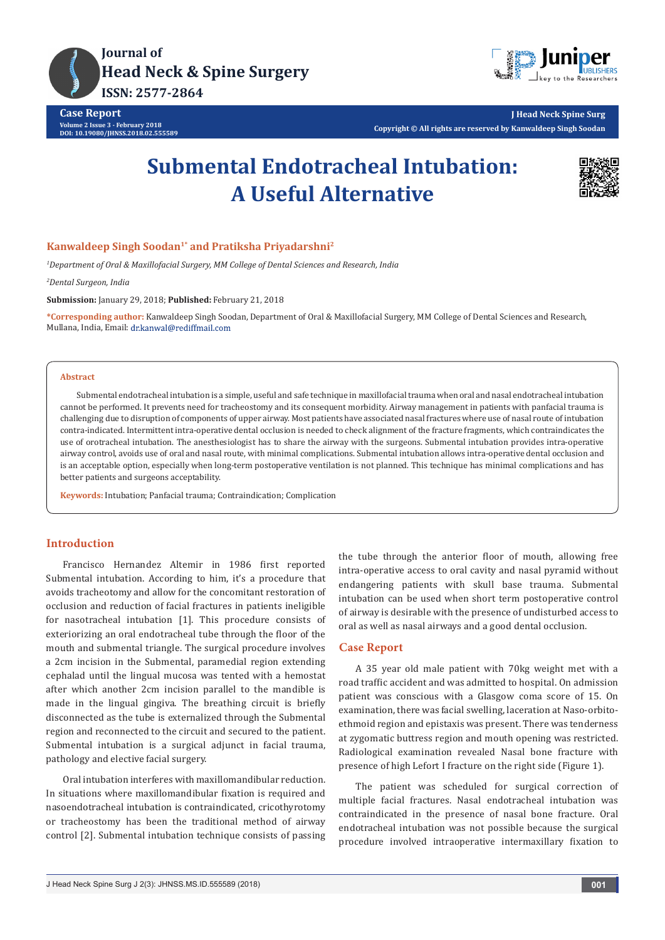



**J Head Neck Spine Surg Copyright © All rights are reserved by Kanwaldeep Singh Soodan**

# **Submental Endotracheal Intubation: A Useful Alternative**



## **Kanwaldeep Singh Soodan1\* and Pratiksha Priyadarshni2**

*1 Department of Oral & Maxillofacial Surgery, MM College of Dental Sciences and Research, India*

*2 Dental Surgeon, India* 

**Submission:** January 29, 2018; **Published:** February 21, 2018

**\*Corresponding author:** Kanwaldeep Singh Soodan, Department of Oral & Maxillofacial Surgery, MM College of Dental Sciences and Research, Mullana, India, Email: dr.kanwal@rediffmail.com

#### **Abstract**

Submental endotracheal intubation is a simple, useful and safe technique in maxillofacial trauma when oral and nasal endotracheal intubation cannot be performed. It prevents need for tracheostomy and its consequent morbidity. Airway management in patients with panfacial trauma is challenging due to disruption of components of upper airway. Most patients have associated nasal fractures where use of nasal route of intubation contra-indicated. Intermittent intra-operative dental occlusion is needed to check alignment of the fracture fragments, which contraindicates the use of orotracheal intubation. The anesthesiologist has to share the airway with the surgeons. Submental intubation provides intra-operative airway control, avoids use of oral and nasal route, with minimal complications. Submental intubation allows intra-operative dental occlusion and is an acceptable option, especially when long-term postoperative ventilation is not planned. This technique has minimal complications and has better patients and surgeons acceptability.

**Keywords:** Intubation; Panfacial trauma; Contraindication; Complication

## **Introduction**

Francisco Hernandez Altemir in 1986 first reported Submental intubation. According to him, it's a procedure that avoids tracheotomy and allow for the concomitant restoration of occlusion and reduction of facial fractures in patients ineligible for nasotracheal intubation [1]. This procedure consists of exteriorizing an oral endotracheal tube through the floor of the mouth and submental triangle. The surgical procedure involves a 2cm incision in the Submental, paramedial region extending cephalad until the lingual mucosa was tented with a hemostat after which another 2cm incision parallel to the mandible is made in the lingual gingiva. The breathing circuit is briefly disconnected as the tube is externalized through the Submental region and reconnected to the circuit and secured to the patient. Submental intubation is a surgical adjunct in facial trauma, pathology and elective facial surgery.

Oral intubation interferes with maxillomandibular reduction. In situations where maxillomandibular fixation is required and nasoendotracheal intubation is contraindicated, cricothyrotomy or tracheostomy has been the traditional method of airway control [2]. Submental intubation technique consists of passing

the tube through the anterior floor of mouth, allowing free intra-operative access to oral cavity and nasal pyramid without endangering patients with skull base trauma. Submental intubation can be used when short term postoperative control of airway is desirable with the presence of undisturbed access to oral as well as nasal airways and a good dental occlusion.

## **Case Report**

A 35 year old male patient with 70kg weight met with a road traffic accident and was admitted to hospital. On admission patient was conscious with a Glasgow coma score of 15. On examination, there was facial swelling, laceration at Naso-orbitoethmoid region and epistaxis was present. There was tenderness at zygomatic buttress region and mouth opening was restricted. Radiological examination revealed Nasal bone fracture with presence of high Lefort I fracture on the right side (Figure 1).

The patient was scheduled for surgical correction of multiple facial fractures. Nasal endotracheal intubation was contraindicated in the presence of nasal bone fracture. Oral endotracheal intubation was not possible because the surgical procedure involved intraoperative intermaxillary fixation to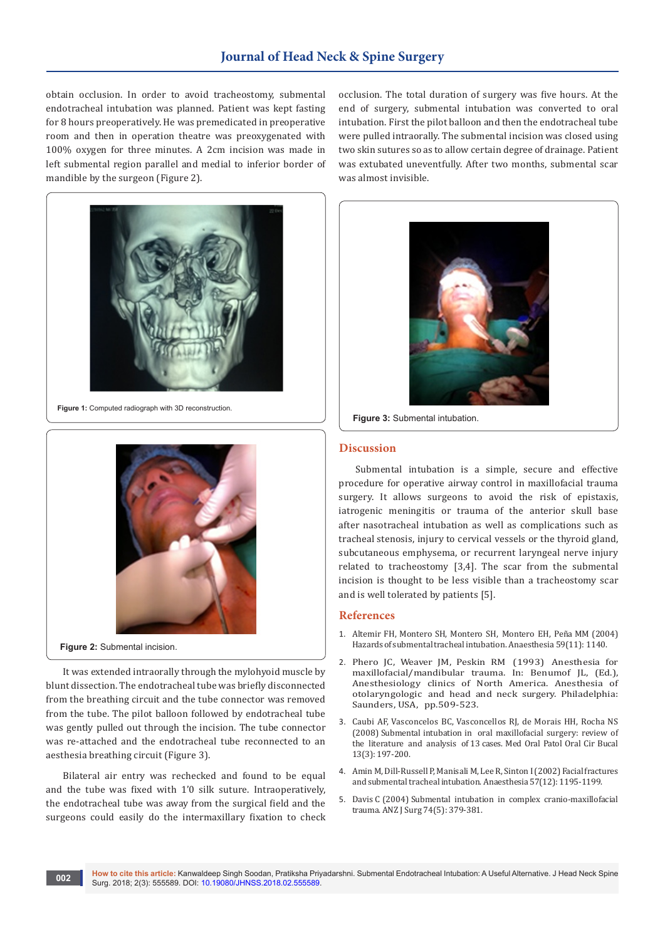## **Journal of Head Neck & Spine Surgery**

obtain occlusion. In order to avoid tracheostomy, submental endotracheal intubation was planned. Patient was kept fasting for 8 hours preoperatively. He was premedicated in preoperative room and then in operation theatre was preoxygenated with 100% oxygen for three minutes. A 2cm incision was made in left submental region parallel and medial to inferior border of mandible by the surgeon (Figure 2).



**Figure 1:** Computed radiograph with 3D reconstruction.



**Figure 2:** Submental incision.

It was extended intraorally through the mylohyoid muscle by blunt dissection. The endotracheal tube was briefly disconnected from the breathing circuit and the tube connector was removed from the tube. The pilot balloon followed by endotracheal tube was gently pulled out through the incision. The tube connector was re-attached and the endotracheal tube reconnected to an aesthesia breathing circuit (Figure 3).

Bilateral air entry was rechecked and found to be equal and the tube was fixed with 1'0 silk suture. Intraoperatively, the endotracheal tube was away from the surgical field and the surgeons could easily do the intermaxillary fixation to check occlusion. The total duration of surgery was five hours. At the end of surgery, submental intubation was converted to oral intubation. First the pilot balloon and then the endotracheal tube were pulled intraorally. The submental incision was closed using two skin sutures so as to allow certain degree of drainage. Patient was extubated uneventfully. After two months, submental scar was almost invisible.



**Figure 3:** Submental intubation.

## **Discussion**

Submental intubation is a simple, secure and effective procedure for operative airway control in maxillofacial trauma surgery. It allows surgeons to avoid the risk of epistaxis, iatrogenic meningitis or trauma of the anterior skull base after nasotracheal intubation as well as complications such as tracheal stenosis, injury to cervical vessels or the thyroid gland, subcutaneous emphysema, or recurrent laryngeal nerve injury related to tracheostomy [3,4]. The scar from the submental incision is thought to be less visible than a tracheostomy scar and is well tolerated by patients [5].

#### **References**

- 1. Altemir FH, Montero SH, Montero SH, Montero EH, Peña [MM \(2004\)](https://www.ncbi.nlm.nih.gov/pubmed/15479330) Hazards of submental tracheal intubation. Anaesthesia 59(11): 1140.
- 2. Phero JC, Weaver JM, Peskin RM (1993) Anesthesia for maxillofacial/mandibular trauma. In: Benumof JL, (Ed.), Anesthesiology clinics of North America. Anesthesia of otolaryngologic and head and neck surgery. Philadelphia: Saunders, USA, pp. 509-523.
- 3. [Caubi AF, Vasconcelos BC, Vasconcellos RJ, de Morais HH, Rocha NS](https://www.ncbi.nlm.nih.gov/pubmed/18305443)  (2008) Submental intubation in oral maxillofacial surgery: review of the literature and analysis of 13 [cases. Med Oral Patol Oral Cir Bucal](https://www.ncbi.nlm.nih.gov/pubmed/18305443) [13\(3\):197-200.](https://www.ncbi.nlm.nih.gov/pubmed/18305443)
- 4. [Amin M, Dill-Russell P, Manisali M, Lee R, Sinton I \(2002\) Facialfractures](https://www.ncbi.nlm.nih.gov/pubmed/12479188) and submental tracheal intubation. Anaesthesia 57(12): 1195-1199.
- 5. [Davis C \(2004\) Submental](https://www.ncbi.nlm.nih.gov/pubmed/15144261) intubation in complex cranio-maxillofacial [trauma. ANZ J Surg 74\(5\): 379-381.](https://www.ncbi.nlm.nih.gov/pubmed/15144261)